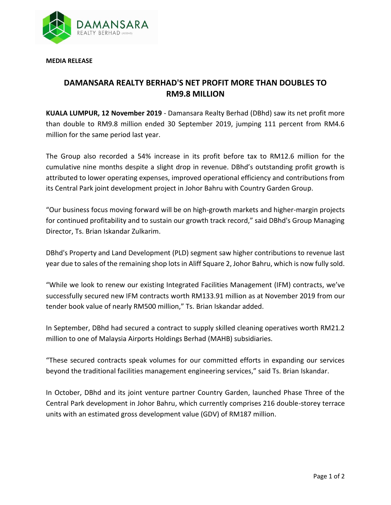

**MEDIA RELEASE** 

## **DAMANSARA REALTY BERHAD'S NET PROFIT MORE THAN DOUBLES TO RM9.8 MILLION**

**KUALA LUMPUR, 12 November 2019** - Damansara Realty Berhad (DBhd) saw its net profit more than double to RM9.8 million ended 30 September 2019, jumping 111 percent from RM4.6 million for the same period last year.

The Group also recorded a 54% increase in its profit before tax to RM12.6 million for the cumulative nine months despite a slight drop in revenue. DBhd's outstanding profit growth is attributed to lower operating expenses, improved operational efficiency and contributions from its Central Park joint development project in Johor Bahru with Country Garden Group.

"Our business focus moving forward will be on high-growth markets and higher-margin projects for continued profitability and to sustain our growth track record," said DBhd's Group Managing Director, Ts. Brian Iskandar Zulkarim.

DBhd's Property and Land Development (PLD) segment saw higher contributions to revenue last year due to sales of the remaining shop lots in Aliff Square 2, Johor Bahru, which is now fully sold.

"While we look to renew our existing Integrated Facilities Management (IFM) contracts, we've successfully secured new IFM contracts worth RM133.91 million as at November 2019 from our tender book value of nearly RM500 million," Ts. Brian Iskandar added.

In September, DBhd had secured a contract to supply skilled cleaning operatives worth RM21.2 million to one of Malaysia Airports Holdings Berhad (MAHB) subsidiaries.

"These secured contracts speak volumes for our committed efforts in expanding our services beyond the traditional facilities management engineering services," said Ts. Brian Iskandar.

In October, DBhd and its joint venture partner Country Garden, launched Phase Three of the Central Park development in Johor Bahru, which currently comprises 216 double-storey terrace units with an estimated gross development value (GDV) of RM187 million.